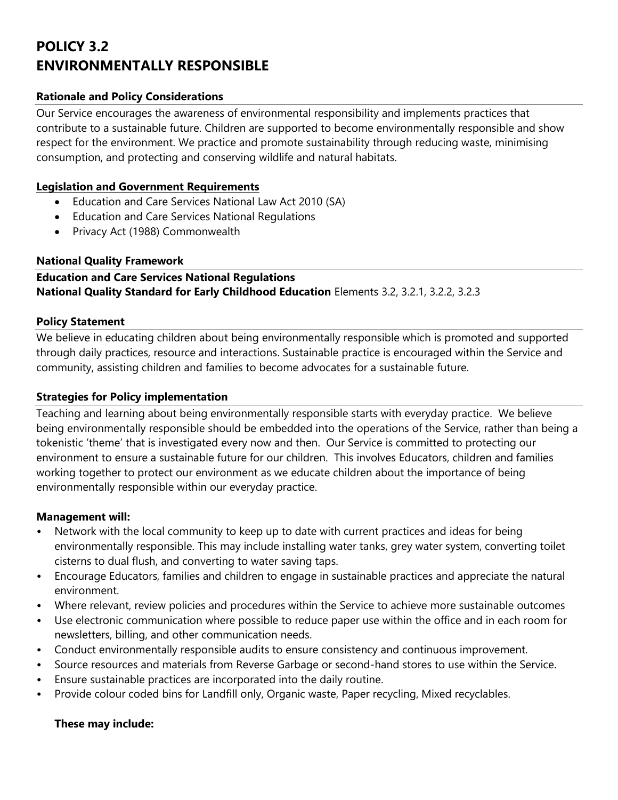# **POLICY 3.2 ENVIRONMENTALLY RESPONSIBLE**

#### **Rationale and Policy Considerations**

Our Service encourages the awareness of environmental responsibility and implements practices that contribute to a sustainable future. Children are supported to become environmentally responsible and show respect for the environment. We practice and promote sustainability through reducing waste, minimising consumption, and protecting and conserving wildlife and natural habitats.

#### **Legislation and Government Requirements**

- Education and Care Services National Law Act 2010 (SA)
- Education and Care Services National Regulations
- Privacy Act (1988) Commonwealth

#### **National Quality Framework**

## **Education and Care Services National Regulations National Quality Standard for Early Childhood Education** Elements 3.2, 3.2.1, 3.2.2, 3.2.3

#### **Policy Statement**

We believe in educating children about being environmentally responsible which is promoted and supported through daily practices, resource and interactions. Sustainable practice is encouraged within the Service and community, assisting children and families to become advocates for a sustainable future.

#### **Strategies for Policy implementation**

Teaching and learning about being environmentally responsible starts with everyday practice. We believe being environmentally responsible should be embedded into the operations of the Service, rather than being a tokenistic 'theme' that is investigated every now and then. Our Service is committed to protecting our environment to ensure a sustainable future for our children. This involves Educators, children and families working together to protect our environment as we educate children about the importance of being environmentally responsible within our everyday practice.

#### **Management will:**

- Network with the local community to keep up to date with current practices and ideas for being environmentally responsible. This may include installing water tanks, grey water system, converting toilet cisterns to dual flush, and converting to water saving taps.
- Encourage Educators, families and children to engage in sustainable practices and appreciate the natural environment.
- Where relevant, review policies and procedures within the Service to achieve more sustainable outcomes
- Use electronic communication where possible to reduce paper use within the office and in each room for newsletters, billing, and other communication needs.
- Conduct environmentally responsible audits to ensure consistency and continuous improvement.
- Source resources and materials from Reverse Garbage or second-hand stores to use within the Service.
- Ensure sustainable practices are incorporated into the daily routine.
- Provide colour coded bins for Landfill only, Organic waste, Paper recycling, Mixed recyclables.

#### **These may include:**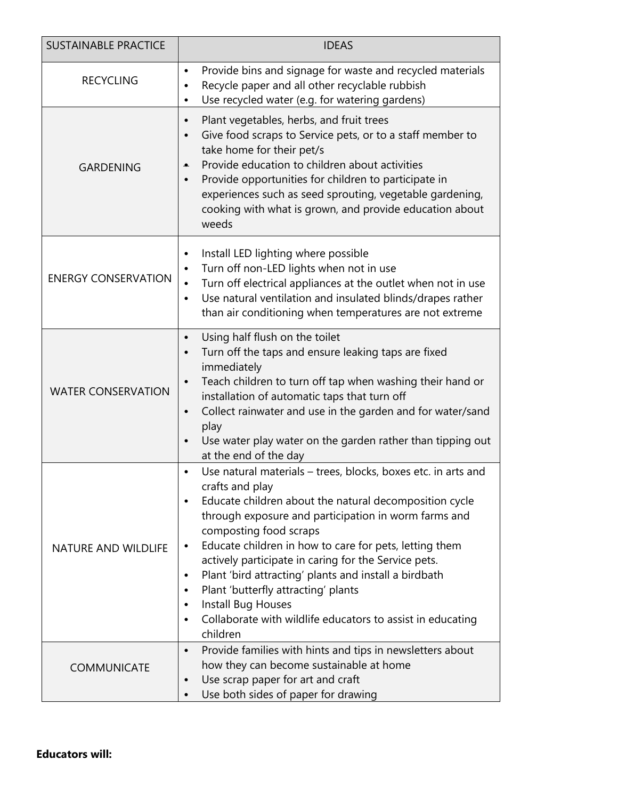| <b>SUSTAINABLE PRACTICE</b> | <b>IDEAS</b>                                                                                                                                                                                                                                                                                                                                                                                                                                                                                                                                                                                                         |
|-----------------------------|----------------------------------------------------------------------------------------------------------------------------------------------------------------------------------------------------------------------------------------------------------------------------------------------------------------------------------------------------------------------------------------------------------------------------------------------------------------------------------------------------------------------------------------------------------------------------------------------------------------------|
| <b>RECYCLING</b>            | Provide bins and signage for waste and recycled materials<br>$\bullet$<br>Recycle paper and all other recyclable rubbish<br>$\bullet$<br>Use recycled water (e.g. for watering gardens)<br>$\bullet$                                                                                                                                                                                                                                                                                                                                                                                                                 |
| <b>GARDENING</b>            | Plant vegetables, herbs, and fruit trees<br>$\bullet$<br>Give food scraps to Service pets, or to a staff member to<br>$\bullet$<br>take home for their pet/s<br>Provide education to children about activities<br>$\bullet$<br>Provide opportunities for children to participate in<br>$\bullet$<br>experiences such as seed sprouting, vegetable gardening,<br>cooking with what is grown, and provide education about<br>weeds                                                                                                                                                                                     |
| <b>ENERGY CONSERVATION</b>  | Install LED lighting where possible<br>$\bullet$<br>Turn off non-LED lights when not in use<br>$\bullet$<br>Turn off electrical appliances at the outlet when not in use<br>$\bullet$<br>Use natural ventilation and insulated blinds/drapes rather<br>$\bullet$<br>than air conditioning when temperatures are not extreme                                                                                                                                                                                                                                                                                          |
| <b>WATER CONSERVATION</b>   | Using half flush on the toilet<br>$\bullet$<br>Turn off the taps and ensure leaking taps are fixed<br>$\bullet$<br>immediately<br>Teach children to turn off tap when washing their hand or<br>$\bullet$<br>installation of automatic taps that turn off<br>Collect rainwater and use in the garden and for water/sand<br>$\bullet$<br>play<br>Use water play water on the garden rather than tipping out<br>at the end of the day                                                                                                                                                                                   |
| <b>NATURE AND WILDLIFE</b>  | Use natural materials – trees, blocks, boxes etc. in arts and<br>crafts and play<br>Educate children about the natural decomposition cycle<br>٠<br>through exposure and participation in worm farms and<br>composting food scraps<br>Educate children in how to care for pets, letting them<br>$\bullet$<br>actively participate in caring for the Service pets.<br>Plant 'bird attracting' plants and install a birdbath<br>$\bullet$<br>Plant 'butterfly attracting' plants<br>$\bullet$<br>Install Bug Houses<br>$\bullet$<br>Collaborate with wildlife educators to assist in educating<br>$\bullet$<br>children |
| <b>COMMUNICATE</b>          | Provide families with hints and tips in newsletters about<br>$\bullet$<br>how they can become sustainable at home<br>Use scrap paper for art and craft<br>$\bullet$<br>Use both sides of paper for drawing<br>$\bullet$                                                                                                                                                                                                                                                                                                                                                                                              |